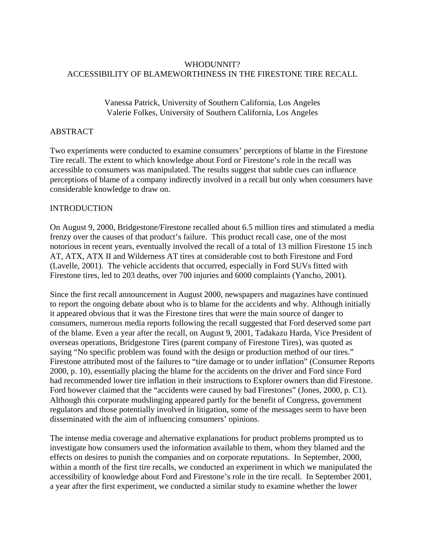# WHODUNNIT? ACCESSIBILITY OF BLAMEWORTHINESS IN THE FIRESTONE TIRE RECALL

## Vanessa Patrick, University of Southern California, Los Angeles Valerie Folkes, University of Southern California, Los Angeles

## ABSTRACT

Two experiments were conducted to examine consumers' perceptions of blame in the Firestone Tire recall. The extent to which knowledge about Ford or Firestone's role in the recall was accessible to consumers was manipulated. The results suggest that subtle cues can influence perceptions of blame of a company indirectly involved in a recall but only when consumers have considerable knowledge to draw on.

## INTRODUCTION

On August 9, 2000, Bridgestone/Firestone recalled about 6.5 million tires and stimulated a media frenzy over the causes of that product's failure. This product recall case, one of the most notorious in recent years, eventually involved the recall of a total of 13 million Firestone 15 inch AT, ATX, ATX II and Wilderness AT tires at considerable cost to both Firestone and Ford (Lavelle, 2001). The vehicle accidents that occurred, especially in Ford SUVs fitted with Firestone tires, led to 203 deaths, over 700 injuries and 6000 complaints (Yancho, 2001).

Since the first recall announcement in August 2000, newspapers and magazines have continued to report the ongoing debate about who is to blame for the accidents and why. Although initially it appeared obvious that it was the Firestone tires that were the main source of danger to consumers, numerous media reports following the recall suggested that Ford deserved some part of the blame. Even a year after the recall, on August 9, 2001, Tadakazu Harda, Vice President of overseas operations, Bridgestone Tires (parent company of Firestone Tires), was quoted as saying "No specific problem was found with the design or production method of our tires." Firestone attributed most of the failures to "tire damage or to under inflation" (Consumer Reports 2000, p. 10), essentially placing the blame for the accidents on the driver and Ford since Ford had recommended lower tire inflation in their instructions to Explorer owners than did Firestone. Ford however claimed that the "accidents were caused by bad Firestones" (Jones, 2000, p. C1). Although this corporate mudslinging appeared partly for the benefit of Congress, government regulators and those potentially involved in litigation, some of the messages seem to have been disseminated with the aim of influencing consumers' opinions.

The intense media coverage and alternative explanations for product problems prompted us to investigate how consumers used the information available to them, whom they blamed and the effects on desires to punish the companies and on corporate reputations. In September, 2000, within a month of the first tire recalls, we conducted an experiment in which we manipulated the accessibility of knowledge about Ford and Firestone's role in the tire recall. In September 2001, a year after the first experiment, we conducted a similar study to examine whether the lower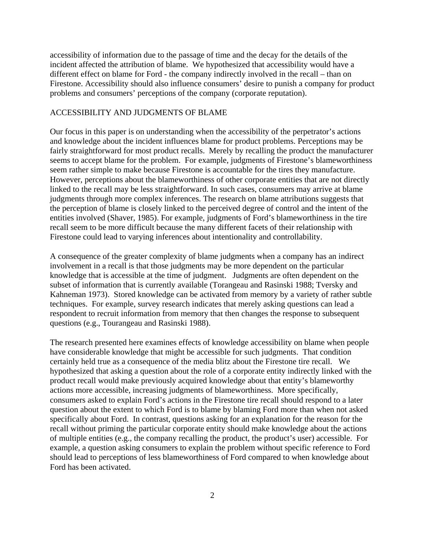accessibility of information due to the passage of time and the decay for the details of the incident affected the attribution of blame. We hypothesized that accessibility would have a different effect on blame for Ford - the company indirectly involved in the recall – than on Firestone. Accessibility should also influence consumers' desire to punish a company for product problems and consumers' perceptions of the company (corporate reputation).

#### ACCESSIBILITY AND JUDGMENTS OF BLAME

Our focus in this paper is on understanding when the accessibility of the perpetrator's actions and knowledge about the incident influences blame for product problems. Perceptions may be fairly straightforward for most product recalls. Merely by recalling the product the manufacturer seems to accept blame for the problem. For example, judgments of Firestone's blameworthiness seem rather simple to make because Firestone is accountable for the tires they manufacture. However, perceptions about the blameworthiness of other corporate entities that are not directly linked to the recall may be less straightforward. In such cases, consumers may arrive at blame judgments through more complex inferences. The research on blame attributions suggests that the perception of blame is closely linked to the perceived degree of control and the intent of the entities involved (Shaver, 1985). For example, judgments of Ford's blameworthiness in the tire recall seem to be more difficult because the many different facets of their relationship with Firestone could lead to varying inferences about intentionality and controllability.

A consequence of the greater complexity of blame judgments when a company has an indirect involvement in a recall is that those judgments may be more dependent on the particular knowledge that is accessible at the time of judgment. Judgments are often dependent on the subset of information that is currently available (Torangeau and Rasinski 1988; Tversky and Kahneman 1973). Stored knowledge can be activated from memory by a variety of rather subtle techniques. For example, survey research indicates that merely asking questions can lead a respondent to recruit information from memory that then changes the response to subsequent questions (e.g., Tourangeau and Rasinski 1988).

The research presented here examines effects of knowledge accessibility on blame when people have considerable knowledge that might be accessible for such judgments. That condition certainly held true as a consequence of the media blitz about the Firestone tire recall. We hypothesized that asking a question about the role of a corporate entity indirectly linked with the product recall would make previously acquired knowledge about that entity's blameworthy actions more accessible, increasing judgments of blameworthiness. More specifically, consumers asked to explain Ford's actions in the Firestone tire recall should respond to a later question about the extent to which Ford is to blame by blaming Ford more than when not asked specifically about Ford. In contrast, questions asking for an explanation for the reason for the recall without priming the particular corporate entity should make knowledge about the actions of multiple entities (e.g., the company recalling the product, the product's user) accessible. For example, a question asking consumers to explain the problem without specific reference to Ford should lead to perceptions of less blameworthiness of Ford compared to when knowledge about Ford has been activated.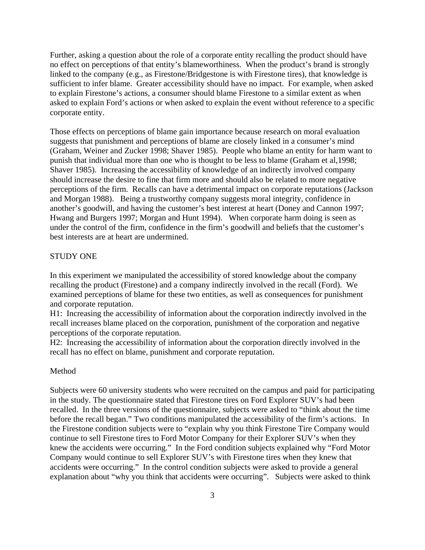Further, asking a question about the role of a corporate entity recalling the product should have no effect on perceptions of that entity's blameworthiness. When the product's brand is strongly linked to the company (e.g., as Firestone/Bridgestone is with Firestone tires), that knowledge is sufficient to infer blame. Greater accessibility should have no impact. For example, when asked to explain Firestone's actions, a consumer should blame Firestone to a similar extent as when asked to explain Ford's actions or when asked to explain the event without reference to a specific corporate entity.

Those effects on perceptions of blame gain importance because research on moral evaluation suggests that punishment and perceptions of blame are closely linked in a consumer's mind (Graham, Weiner and Zucker 1998; Shaver 1985). People who blame an entity for harm want to punish that individual more than one who is thought to be less to blame (Graham et al,1998; Shaver 1985). Increasing the accessibility of knowledge of an indirectly involved company should increase the desire to fine that firm more and should also be related to more negative perceptions of the firm. Recalls can have a detrimental impact on corporate reputations (Jackson and Morgan 1988). Being a trustworthy company suggests moral integrity, confidence in another's goodwill, and having the customer's best interest at heart (Doney and Cannon 1997; Hwang and Burgers 1997; Morgan and Hunt 1994). When corporate harm doing is seen as under the control of the firm, confidence in the firm's goodwill and beliefs that the customer's best interests are at heart are undermined.

### STUDY ONE

In this experiment we manipulated the accessibility of stored knowledge about the company recalling the product (Firestone) and a company indirectly involved in the recall (Ford). We examined perceptions of blame for these two entities, as well as consequences for punishment and corporate reputation.

H1: Increasing the accessibility of information about the corporation indirectly involved in the recall increases blame placed on the corporation, punishment of the corporation and negative perceptions of the corporate reputation.

H2: Increasing the accessibility of information about the corporation directly involved in the recall has no effect on blame, punishment and corporate reputation.

#### Method

Subjects were 60 university students who were recruited on the campus and paid for participating in the study. The questionnaire stated that Firestone tires on Ford Explorer SUV's had been recalled. In the three versions of the questionnaire, subjects were asked to "think about the time before the recall began." Two conditions manipulated the accessibility of the firm's actions. In the Firestone condition subjects were to "explain why you think Firestone Tire Company would continue to sell Firestone tires to Ford Motor Company for their Explorer SUV's when they knew the accidents were occurring." In the Ford condition subjects explained why "Ford Motor Company would continue to sell Explorer SUV's with Firestone tires when they knew that accidents were occurring." In the control condition subjects were asked to provide a general explanation about "why you think that accidents were occurring". Subjects were asked to think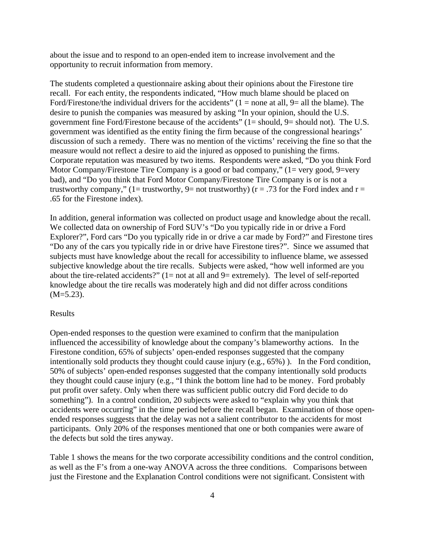about the issue and to respond to an open-ended item to increase involvement and the opportunity to recruit information from memory.

The students completed a questionnaire asking about their opinions about the Firestone tire recall. For each entity, the respondents indicated, "How much blame should be placed on Ford/Firestone/the individual drivers for the accidents"  $(1 = none$  at all,  $9 =$  all the blame). The desire to punish the companies was measured by asking "In your opinion, should the U.S. government fine Ford/Firestone because of the accidents"  $(1 =$  should,  $9 =$  should not). The U.S. government was identified as the entity fining the firm because of the congressional hearings' discussion of such a remedy. There was no mention of the victims' receiving the fine so that the measure would not reflect a desire to aid the injured as opposed to punishing the firms. Corporate reputation was measured by two items. Respondents were asked, "Do you think Ford Motor Company/Firestone Tire Company is a good or bad company,"  $(1=$  very good, 9=very bad), and "Do you think that Ford Motor Company/Firestone Tire Company is or is not a trustworthy company," (1= trustworthy, 9= not trustworthy) ( $r = .73$  for the Ford index and  $r =$ .65 for the Firestone index).

In addition, general information was collected on product usage and knowledge about the recall. We collected data on ownership of Ford SUV's "Do you typically ride in or drive a Ford Explorer?", Ford cars "Do you typically ride in or drive a car made by Ford?" and Firestone tires "Do any of the cars you typically ride in or drive have Firestone tires?". Since we assumed that subjects must have knowledge about the recall for accessibility to influence blame, we assessed subjective knowledge about the tire recalls. Subjects were asked, "how well informed are you about the tire-related accidents?"  $(1=$  not at all and  $9=$  extremely). The level of self-reported knowledge about the tire recalls was moderately high and did not differ across conditions  $(M=5.23)$ .

#### Results

Open-ended responses to the question were examined to confirm that the manipulation influenced the accessibility of knowledge about the company's blameworthy actions. In the Firestone condition, 65% of subjects' open-ended responses suggested that the company intentionally sold products they thought could cause injury (e.g., 65%) ). In the Ford condition, 50% of subjects' open-ended responses suggested that the company intentionally sold products they thought could cause injury (e.g., "I think the bottom line had to be money. Ford probably put profit over safety. Only when there was sufficient public outcry did Ford decide to do something"). In a control condition, 20 subjects were asked to "explain why you think that accidents were occurring" in the time period before the recall began. Examination of those openended responses suggests that the delay was not a salient contributor to the accidents for most participants. Only 20% of the responses mentioned that one or both companies were aware of the defects but sold the tires anyway.

Table 1 shows the means for the two corporate accessibility conditions and the control condition, as well as the F's from a one-way ANOVA across the three conditions. Comparisons between just the Firestone and the Explanation Control conditions were not significant. Consistent with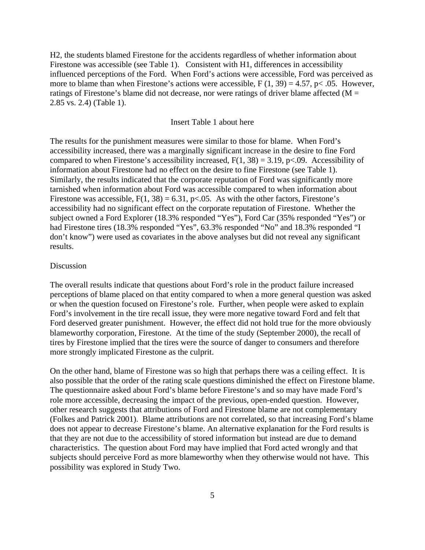H2, the students blamed Firestone for the accidents regardless of whether information about Firestone was accessible (see Table 1). Consistent with H1, differences in accessibility influenced perceptions of the Ford. When Ford's actions were accessible, Ford was perceived as more to blame than when Firestone's actions were accessible,  $F(1, 39) = 4.57$ ,  $p < .05$ . However, ratings of Firestone's blame did not decrease, nor were ratings of driver blame affected ( $M =$ 2.85 vs. 2.4) (Table 1).

#### Insert Table 1 about here

The results for the punishment measures were similar to those for blame. When Ford's accessibility increased, there was a marginally significant increase in the desire to fine Ford compared to when Firestone's accessibility increased,  $F(1, 38) = 3.19$ , p<.09. Accessibility of information about Firestone had no effect on the desire to fine Firestone (see Table 1). Similarly, the results indicated that the corporate reputation of Ford was significantly more tarnished when information about Ford was accessible compared to when information about Firestone was accessible,  $F(1, 38) = 6.31$ ,  $p<0.05$ . As with the other factors, Firestone's accessibility had no significant effect on the corporate reputation of Firestone. Whether the subject owned a Ford Explorer (18.3% responded "Yes"), Ford Car (35% responded "Yes") or had Firestone tires (18.3% responded "Yes", 63.3% responded "No" and 18.3% responded "I don't know") were used as covariates in the above analyses but did not reveal any significant results.

#### Discussion

The overall results indicate that questions about Ford's role in the product failure increased perceptions of blame placed on that entity compared to when a more general question was asked or when the question focused on Firestone's role. Further, when people were asked to explain Ford's involvement in the tire recall issue, they were more negative toward Ford and felt that Ford deserved greater punishment. However, the effect did not hold true for the more obviously blameworthy corporation, Firestone. At the time of the study (September 2000), the recall of tires by Firestone implied that the tires were the source of danger to consumers and therefore more strongly implicated Firestone as the culprit.

On the other hand, blame of Firestone was so high that perhaps there was a ceiling effect. It is also possible that the order of the rating scale questions diminished the effect on Firestone blame. The questionnaire asked about Ford's blame before Firestone's and so may have made Ford's role more accessible, decreasing the impact of the previous, open-ended question. However, other research suggests that attributions of Ford and Firestone blame are not complementary (Folkes and Patrick 2001). Blame attributions are not correlated, so that increasing Ford's blame does not appear to decrease Firestone's blame. An alternative explanation for the Ford results is that they are not due to the accessibility of stored information but instead are due to demand characteristics. The question about Ford may have implied that Ford acted wrongly and that subjects should perceive Ford as more blameworthy when they otherwise would not have. This possibility was explored in Study Two.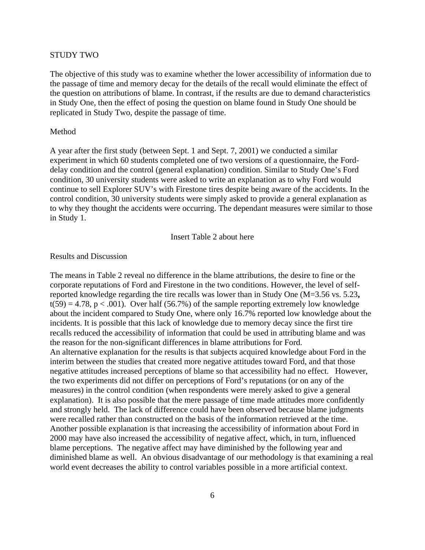#### STUDY TWO

The objective of this study was to examine whether the lower accessibility of information due to the passage of time and memory decay for the details of the recall would eliminate the effect of the question on attributions of blame. In contrast, if the results are due to demand characteristics in Study One, then the effect of posing the question on blame found in Study One should be replicated in Study Two, despite the passage of time.

#### Method

A year after the first study (between Sept. 1 and Sept. 7, 2001) we conducted a similar experiment in which 60 students completed one of two versions of a questionnaire, the Forddelay condition and the control (general explanation) condition. Similar to Study One's Ford condition, 30 university students were asked to write an explanation as to why Ford would continue to sell Explorer SUV's with Firestone tires despite being aware of the accidents. In the control condition, 30 university students were simply asked to provide a general explanation as to why they thought the accidents were occurring. The dependant measures were similar to those in Study 1.

Insert Table 2 about here

#### Results and Discussion

The means in Table 2 reveal no difference in the blame attributions, the desire to fine or the corporate reputations of Ford and Firestone in the two conditions. However, the level of selfreported knowledge regarding the tire recalls was lower than in Study One (M=3.56 vs. 5.23**,**   $t(59) = 4.78$ ,  $p < .001$ ). Over half (56.7%) of the sample reporting extremely low knowledge about the incident compared to Study One, where only 16.7% reported low knowledge about the incidents. It is possible that this lack of knowledge due to memory decay since the first tire recalls reduced the accessibility of information that could be used in attributing blame and was the reason for the non-significant differences in blame attributions for Ford. An alternative explanation for the results is that subjects acquired knowledge about Ford in the interim between the studies that created more negative attitudes toward Ford, and that those negative attitudes increased perceptions of blame so that accessibility had no effect. However, the two experiments did not differ on perceptions of Ford's reputations (or on any of the measures) in the control condition (when respondents were merely asked to give a general explanation). It is also possible that the mere passage of time made attitudes more confidently and strongly held. The lack of difference could have been observed because blame judgments were recalled rather than constructed on the basis of the information retrieved at the time. Another possible explanation is that increasing the accessibility of information about Ford in 2000 may have also increased the accessibility of negative affect, which, in turn, influenced blame perceptions. The negative affect may have diminished by the following year and diminished blame as well. An obvious disadvantage of our methodology is that examining a real world event decreases the ability to control variables possible in a more artificial context.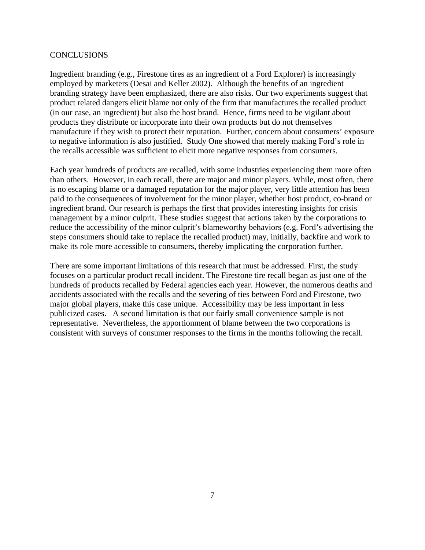#### **CONCLUSIONS**

Ingredient branding (e.g., Firestone tires as an ingredient of a Ford Explorer) is increasingly employed by marketers (Desai and Keller 2002). Although the benefits of an ingredient branding strategy have been emphasized, there are also risks. Our two experiments suggest that product related dangers elicit blame not only of the firm that manufactures the recalled product (in our case, an ingredient) but also the host brand. Hence, firms need to be vigilant about products they distribute or incorporate into their own products but do not themselves manufacture if they wish to protect their reputation. Further, concern about consumers' exposure to negative information is also justified. Study One showed that merely making Ford's role in the recalls accessible was sufficient to elicit more negative responses from consumers.

Each year hundreds of products are recalled, with some industries experiencing them more often than others. However, in each recall, there are major and minor players. While, most often, there is no escaping blame or a damaged reputation for the major player, very little attention has been paid to the consequences of involvement for the minor player, whether host product, co-brand or ingredient brand. Our research is perhaps the first that provides interesting insights for crisis management by a minor culprit. These studies suggest that actions taken by the corporations to reduce the accessibility of the minor culprit's blameworthy behaviors (e.g. Ford's advertising the steps consumers should take to replace the recalled product) may, initially, backfire and work to make its role more accessible to consumers, thereby implicating the corporation further.

There are some important limitations of this research that must be addressed. First, the study focuses on a particular product recall incident. The Firestone tire recall began as just one of the hundreds of products recalled by Federal agencies each year. However, the numerous deaths and accidents associated with the recalls and the severing of ties between Ford and Firestone, two major global players, make this case unique. Accessibility may be less important in less publicized cases. A second limitation is that our fairly small convenience sample is not representative. Nevertheless, the apportionment of blame between the two corporations is consistent with surveys of consumer responses to the firms in the months following the recall.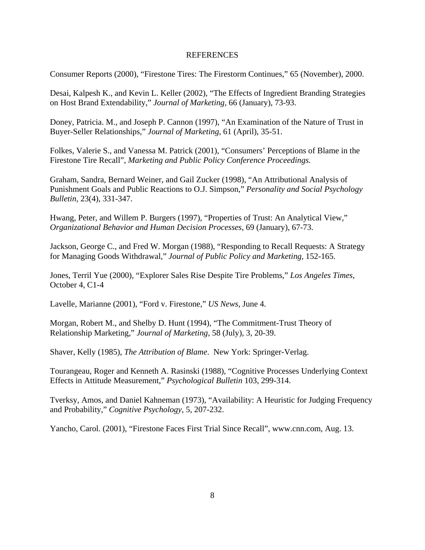#### REFERENCES

Consumer Reports (2000), "Firestone Tires: The Firestorm Continues," 65 (November), 2000.

Desai, Kalpesh K., and Kevin L. Keller (2002), "The Effects of Ingredient Branding Strategies on Host Brand Extendability," *Journal of Marketing,* 66 (January), 73-93.

Doney, Patricia. M., and Joseph P. Cannon (1997), "An Examination of the Nature of Trust in Buyer-Seller Relationships," *Journal of Marketing*, 61 (April), 35-51.

Folkes, Valerie S., and Vanessa M. Patrick (2001), "Consumers' Perceptions of Blame in the Firestone Tire Recall", *Marketing and Public Policy Conference Proceedings.*

Graham, Sandra, Bernard Weiner, and Gail Zucker (1998), "An Attributional Analysis of Punishment Goals and Public Reactions to O.J. Simpson," *Personality and Social Psychology Bulletin*, 23(4), 331-347.

Hwang, Peter, and Willem P. Burgers (1997), "Properties of Trust: An Analytical View," *Organizational Behavior and Human Decision Processes*, 69 (January), 67-73.

Jackson, George C., and Fred W. Morgan (1988), "Responding to Recall Requests: A Strategy for Managing Goods Withdrawal," *Journal of Public Policy and Marketing*, 152-165.

Jones, Terril Yue (2000), "Explorer Sales Rise Despite Tire Problems," *Los Angeles Times*, October 4, C1-4

Lavelle, Marianne (2001), "Ford v. Firestone," *US News,* June 4.

Morgan, Robert M., and Shelby D. Hunt (1994), "The Commitment-Trust Theory of Relationship Marketing," *Journal of Marketing*, 58 (July), 3, 20-39.

Shaver, Kelly (1985), *The Attribution of Blame*. New York: Springer-Verlag.

Tourangeau, Roger and Kenneth A. Rasinski (1988), "Cognitive Processes Underlying Context Effects in Attitude Measurement," *Psychological Bulletin* 103, 299-314.

Tverksy, Amos, and Daniel Kahneman (1973), "Availability: A Heuristic for Judging Frequency and Probability," *Cognitive Psychology*, 5, 207-232.

Yancho, Carol. (2001), "Firestone Faces First Trial Since Recall", www.cnn.com, Aug. 13.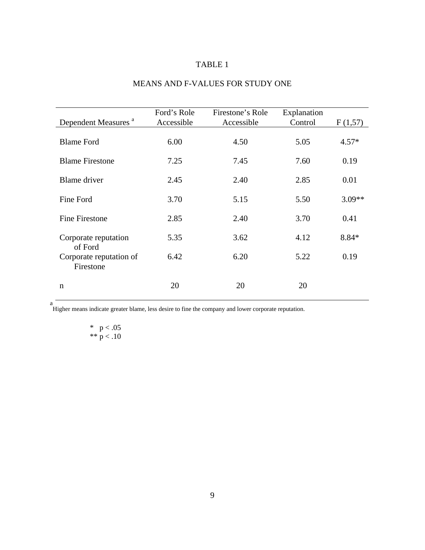# TABLE 1

| <b>MEANS AND F-VALUES FOR STUDY ONE</b> |  |  |  |  |
|-----------------------------------------|--|--|--|--|
|-----------------------------------------|--|--|--|--|

| Dependent Measures <sup>a</sup>      | Ford's Role<br>Accessible | Firestone's Role<br>Accessible | Explanation<br>Control | F(1,57)  |
|--------------------------------------|---------------------------|--------------------------------|------------------------|----------|
| <b>Blame Ford</b>                    | 6.00                      | 4.50                           | 5.05                   | $4.57*$  |
| <b>Blame Firestone</b>               | 7.25                      | 7.45                           | 7.60                   | 0.19     |
| <b>Blame</b> driver                  | 2.45                      | 2.40                           | 2.85                   | 0.01     |
| Fine Ford                            | 3.70                      | 5.15                           | 5.50                   | $3.09**$ |
| <b>Fine Firestone</b>                | 2.85                      | 2.40                           | 3.70                   | 0.41     |
| Corporate reputation<br>of Ford      | 5.35                      | 3.62                           | 4.12                   | 8.84*    |
| Corporate reputation of<br>Firestone | 6.42                      | 6.20                           | 5.22                   | 0.19     |
| $\mathbf n$                          | 20                        | 20                             | 20                     |          |

Higher means indicate greater blame, less desire to fine the company and lower corporate reputation.

# \*  $p < .05$ \*\*  $p < .10$

a